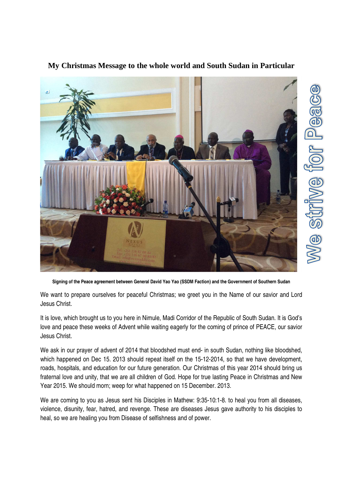

## **My Christmas Message to the whole world and South Sudan in Particular**

**Signing of the Peace agreement between General David Yao Yao (SSDM Faction) and the Government of Southern Sudan** 

We want to prepare ourselves for peaceful Christmas; we greet you in the Name of our savior and Lord Jesus Christ.

It is love, which brought us to you here in Nimule, Madi Corridor of the Republic of South Sudan. It is God's love and peace these weeks of Advent while waiting eagerly for the coming of prince of PEACE, our savior Jesus Christ.

We ask in our prayer of advent of 2014 that bloodshed must end- in south Sudan, nothing like bloodshed, which happened on Dec 15. 2013 should repeat itself on the 15-12-2014, so that we have development, roads, hospitals, and education for our future generation. Our Christmas of this year 2014 should bring us fraternal love and unity, that we are all children of God. Hope for true lasting Peace in Christmas and New Year 2015. We should morn; weep for what happened on 15 December. 2013.

We are coming to you as Jesus sent his Disciples in Mathew: 9:35-10:1-8. to heal you from all diseases, violence, disunity, fear, hatred, and revenge. These are diseases Jesus gave authority to his disciples to heal, so we are healing you from Disease of selfishness and of power.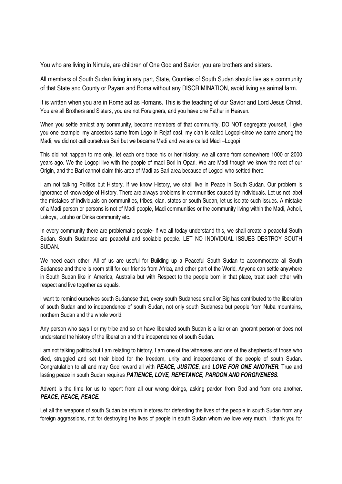You who are living in Nimule, are children of One God and Savior, you are brothers and sisters.

All members of South Sudan living in any part, State, Counties of South Sudan should live as a community of that State and County or Payam and Boma without any DISCRIMINATION, avoid living as animal farm.

It is written when you are in Rome act as Romans. This is the teaching of our Savior and Lord Jesus Christ. You are all Brothers and Sisters, you are not Foreigners, and you have one Father in Heaven.

When you settle amidst any community, become members of that community, DO NOT segregate yourself, I give you one example, my ancestors came from Logo in Rejaf east, my clan is called Logopi-since we came among the Madi, we did not call ourselves Bari but we became Madi and we are called Madi –Logopi

This did not happen to me only, let each one trace his or her history; we all came from somewhere 1000 or 2000 years ago. We the Logopi live with the people of madi Bori in Opari. We are Madi though we know the root of our Origin, and the Bari cannot claim this area of Madi as Bari area because of Logopi who settled there.

I am not talking Politics but History. If we know History, we shall live in Peace in South Sudan. Our problem is ignorance of knowledge of History. There are always problems in communities caused by individuals. Let us not label the mistakes of individuals on communities, tribes, clan, states or south Sudan, let us isolate such issues. A mistake of a Madi person or persons is not of Madi people, Madi communities or the community living within the Madi, Acholi, Lokoya, Lotuho or Dinka community etc.

In every community there are problematic people- if we all today understand this, we shall create a peaceful South Sudan. South Sudanese are peaceful and sociable people. LET NO INDIVIDUAL ISSUES DESTROY SOUTH SUDAN.

We need each other, All of us are useful for Building up a Peaceful South Sudan to accommodate all South Sudanese and there is room still for our friends from Africa, and other part of the World, Anyone can settle anywhere in South Sudan like in America, Australia but with Respect to the people born in that place, treat each other with respect and live together as equals.

I want to remind ourselves south Sudanese that, every south Sudanese small or Big has contributed to the liberation of south Sudan and to independence of south Sudan, not only south Sudanese but people from Nuba mountains, northern Sudan and the whole world.

Any person who says I or my tribe and so on have liberated south Sudan is a liar or an ignorant person or does not understand the history of the liberation and the independence of south Sudan.

I am not talking politics but I am relating to history, I am one of the witnesses and one of the shepherds of those who died, struggled and set their blood for the freedom, unity and independence of the people of south Sudan. Congratulation to all and may God reward all with **PEACE, JUSTICE**, and **LOVE FOR ONE ANOTHER**. True and lasting peace in south Sudan requires **PATIENCE, LOVE, REPETANCE, PARDON AND FORGIVENESS**.

Advent is the time for us to repent from all our wrong doings, asking pardon from God and from one another. **PEACE, PEACE, PEACE.**

Let all the weapons of south Sudan be return in stores for defending the lives of the people in south Sudan from any foreign aggressions, not for destroying the lives of people in south Sudan whom we love very much. I thank you for